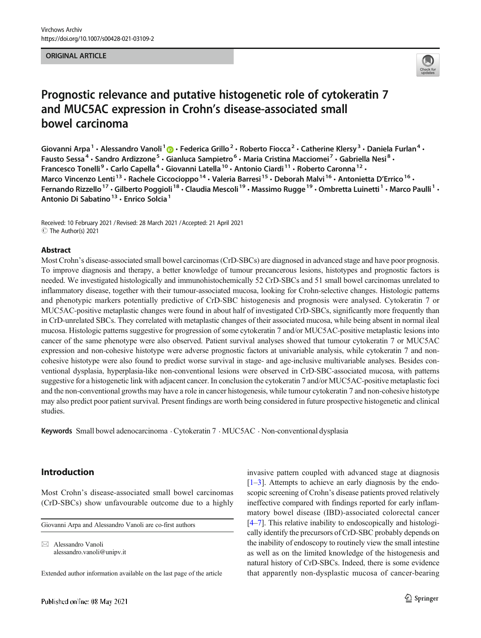#### ORIGINAL ARTICLE



# Prognostic relevance and putative histogenetic role of cytokeratin 7 and MUC5AC expression in Crohn's disease-associated small bowel carcinoma

Giovanni Arpa<sup>1</sup> • Alessandro Vanoli<sup>1</sup>  $\cdot$  Federica Grillo<sup>2</sup> • Roberto Fiocca<sup>2</sup> • Catherine Klersy<sup>3</sup> • Daniela Furlan<sup>4</sup> • Fausto Sessa<sup>4</sup> • Sandro Ardizzone<sup>5</sup> • Gianluca Sampietro<sup>6</sup> • Maria Cristina Macciomei<sup>7</sup> • Gabriella Nesi<sup>8</sup> • Francesco Tonelli<sup>9</sup> · Carlo Capella<sup>4</sup> · Giovanni Latella<sup>10</sup> · Antonio Ciardi<sup>11</sup> · Roberto Caronna<sup>12</sup> · Marco Vincenzo Lenti<sup>13</sup> · Rachele Ciccocioppo<sup>14</sup> · Valeria Barresi<sup>15</sup> · Deborah Malvi<sup>16</sup> · Antonietta D'Errico<sup>16</sup> · Fernando Rizzello<sup>17</sup> · Gilberto Poggioli<sup>18</sup> · Claudia Mescoli<sup>19</sup> · Massimo Rugge<sup>19</sup> · Ombretta Luinetti<sup>1</sup> · Marco Paulli<sup>1</sup> · Antonio Di Sabatino<sup>13</sup> · Enrico Solcia<sup>1</sup>

Received: 10 February 2021 / Revised: 28 March 2021 /Accepted: 21 April 2021  $\circledcirc$  The Author(s) 2021

#### Abstract

Most Crohn's disease-associated small bowel carcinomas (CrD-SBCs) are diagnosed in advanced stage and have poor prognosis. To improve diagnosis and therapy, a better knowledge of tumour precancerous lesions, histotypes and prognostic factors is needed. We investigated histologically and immunohistochemically 52 CrD-SBCs and 51 small bowel carcinomas unrelated to inflammatory disease, together with their tumour-associated mucosa, looking for Crohn-selective changes. Histologic patterns and phenotypic markers potentially predictive of CrD-SBC histogenesis and prognosis were analysed. Cytokeratin 7 or MUC5AC-positive metaplastic changes were found in about half of investigated CrD-SBCs, significantly more frequently than in CrD-unrelated SBCs. They correlated with metaplastic changes of their associated mucosa, while being absent in normal ileal mucosa. Histologic patterns suggestive for progression of some cytokeratin 7 and/or MUC5AC-positive metaplastic lesions into cancer of the same phenotype were also observed. Patient survival analyses showed that tumour cytokeratin 7 or MUC5AC expression and non-cohesive histotype were adverse prognostic factors at univariable analysis, while cytokeratin 7 and noncohesive histotype were also found to predict worse survival in stage- and age-inclusive multivariable analyses. Besides conventional dysplasia, hyperplasia-like non-conventional lesions were observed in CrD-SBC-associated mucosa, with patterns suggestive for a histogenetic link with adjacent cancer. In conclusion the cytokeratin 7 and/or MUC5AC-positive metaplastic foci and the non-conventional growths may have a role in cancer histogenesis, while tumour cytokeratin 7 and non-cohesive histotype may also predict poor patient survival. Present findings are worth being considered in future prospective histogenetic and clinical studies.

Keywords Small bowel adenocarcinoma . Cytokeratin 7 . MUC5AC . Non-conventional dysplasia

# Introduction

Most Crohn's disease-associated small bowel carcinomas (CrD-SBCs) show unfavourable outcome due to a highly

Giovanni Arpa and Alessandro Vanoli are co-first authors

 $\boxtimes$  Alessandro Vanoli [alessandro.vanoli@unipv.it](mailto:alessandro.vanoli@unipv.it)

Extended author information available on the last page of the article

invasive pattern coupled with advanced stage at diagnosis  $[1-3]$  $[1-3]$  $[1-3]$ . Attempts to achieve an early diagnosis by the endoscopic screening of Crohn's disease patients proved relatively ineffective compared with findings reported for early inflammatory bowel disease (IBD)-associated colorectal cancer [\[4](#page-9-0)–[7\]](#page-9-0). This relative inability to endoscopically and histologically identify the precursors of CrD-SBC probably depends on the inability of endoscopy to routinely view the small intestine as well as on the limited knowledge of the histogenesis and natural history of CrD-SBCs. Indeed, there is some evidence that apparently non-dysplastic mucosa of cancer-bearing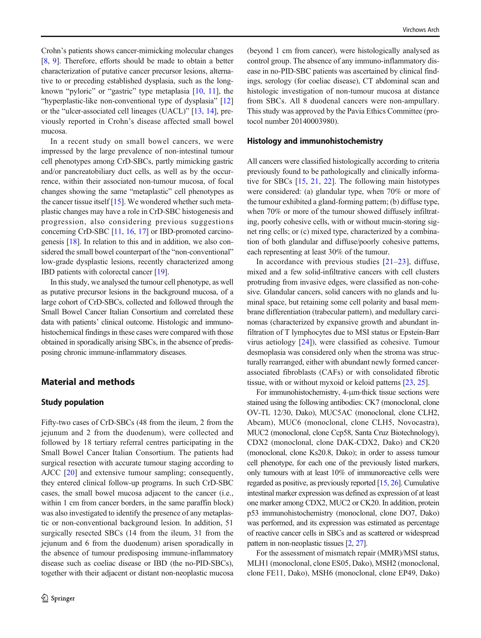Crohn's patients shows cancer-mimicking molecular changes [\[8](#page-9-0), [9](#page-9-0)]. Therefore, efforts should be made to obtain a better characterization of putative cancer precursor lesions, alternative to or preceding established dysplasia, such as the longknown "pyloric" or "gastric" type metaplasia [[10,](#page-9-0) [11\]](#page-9-0), the "hyperplastic-like non-conventional type of dysplasia" [\[12\]](#page-9-0) or the "ulcer-associated cell lineages (UACL)" [\[13](#page-9-0), [14](#page-9-0)], previously reported in Crohn's disease affected small bowel mucosa.

In a recent study on small bowel cancers, we were impressed by the large prevalence of non-intestinal tumour cell phenotypes among CrD-SBCs, partly mimicking gastric and/or pancreatobiliary duct cells, as well as by the occurrence, within their associated non-tumour mucosa, of focal changes showing the same "metaplastic" cell phenotypes as the cancer tissue itself  $[15]$  $[15]$ . We wondered whether such metaplastic changes may have a role in CrD-SBC histogenesis and progression, also considering previous suggestions concerning CrD-SBC [\[11,](#page-9-0) [16,](#page-9-0) [17\]](#page-9-0) or IBD-promoted carcinogenesis [[18](#page-9-0)]. In relation to this and in addition, we also considered the small bowel counterpart of the "non-conventional" low-grade dysplastic lesions, recently characterized among IBD patients with colorectal cancer [\[19](#page-9-0)].

In this study, we analysed the tumour cell phenotype, as well as putative precursor lesions in the background mucosa, of a large cohort of CrD-SBCs, collected and followed through the Small Bowel Cancer Italian Consortium and correlated these data with patients' clinical outcome. Histologic and immunohistochemical findings in these cases were compared with those obtained in sporadically arising SBCs, in the absence of predisposing chronic immune-inflammatory diseases.

# Material and methods

# Study population

Fifty-two cases of CrD-SBCs (48 from the ileum, 2 from the jejunum and 2 from the duodenum), were collected and followed by 18 tertiary referral centres participating in the Small Bowel Cancer Italian Consortium. The patients had surgical resection with accurate tumour staging according to AJCC [\[20](#page-9-0)] and extensive tumour sampling; consequently, they entered clinical follow-up programs. In such CrD-SBC cases, the small bowel mucosa adjacent to the cancer (i.e., within 1 cm from cancer borders, in the same paraffin block) was also investigated to identify the presence of any metaplastic or non-conventional background lesion. In addition, 51 surgically resected SBCs (14 from the ileum, 31 from the jejunum and 6 from the duodenum) arisen sporadically in the absence of tumour predisposing immune-inflammatory disease such as coeliac disease or IBD (the no-PID-SBCs), together with their adjacent or distant non-neoplastic mucosa (beyond 1 cm from cancer), were histologically analysed as control group. The absence of any immuno-inflammatory disease in no-PID-SBC patients was ascertained by clinical findings, serology (for coeliac disease), CT abdominal scan and histologic investigation of non-tumour mucosa at distance from SBCs. All 8 duodenal cancers were non-ampullary. This study was approved by the Pavia Ethics Committee (protocol number 20140003980).

#### Histology and immunohistochemistry

All cancers were classified histologically according to criteria previously found to be pathologically and clinically informative for SBCs [[15,](#page-9-0) [21,](#page-9-0) [22](#page-9-0)]. The following main histotypes were considered: (a) glandular type, when 70% or more of the tumour exhibited a gland-forming pattern; (b) diffuse type, when 70% or more of the tumour showed diffusely infiltrating, poorly cohesive cells, with or without mucin-storing signet ring cells; or (c) mixed type, characterized by a combination of both glandular and diffuse/poorly cohesive patterns, each representing at least 30% of the tumour.

In accordance with previous studies  $[21-23]$  $[21-23]$  $[21-23]$  $[21-23]$ , diffuse, mixed and a few solid-infiltrative cancers with cell clusters protruding from invasive edges, were classified as non-cohesive. Glandular cancers, solid cancers with no glands and luminal space, but retaining some cell polarity and basal membrane differentiation (trabecular pattern), and medullary carcinomas (characterized by expansive growth and abundant infiltration of T lymphocytes due to MSI status or Epstein-Barr virus aetiology [\[24](#page-9-0)]), were classified as cohesive. Tumour desmoplasia was considered only when the stroma was structurally rearranged, either with abundant newly formed cancerassociated fibroblasts (CAFs) or with consolidated fibrotic tissue, with or without myxoid or keloid patterns [\[23,](#page-9-0) [25\]](#page-9-0).

For immunohistochemistry, 4-μm-thick tissue sections were stained using the following antibodies: CK7 (monoclonal, clone OV-TL 12/30, Dako), MUC5AC (monoclonal, clone CLH2, Abcam), MUC6 (monoclonal, clone CLH5, Novocastra), MUC2 (monoclonal, clone Ccp58, Santa Cruz Biotechnology), CDX2 (monoclonal, clone DAK-CDX2, Dako) and CK20 (monoclonal, clone Ks20.8, Dako); in order to assess tumour cell phenotype, for each one of the previously listed markers, only tumours with at least 10% of immunoreactive cells were regarded as positive, as previously reported [\[15,](#page-9-0) [26](#page-9-0)]. Cumulative intestinal marker expression was defined as expression of at least one marker among CDX2, MUC2 or CK20. In addition, protein p53 immunohistochemistry (monoclonal, clone DO7, Dako) was performed, and its expression was estimated as percentage of reactive cancer cells in SBCs and as scattered or widespread pattern in non-neoplastic tissues [\[2,](#page-9-0) [27](#page-10-0)].

For the assessment of mismatch repair (MMR)/MSI status, MLH1 (monoclonal, clone ES05, Dako), MSH2 (monoclonal, clone FE11, Dako), MSH6 (monoclonal, clone EP49, Dako)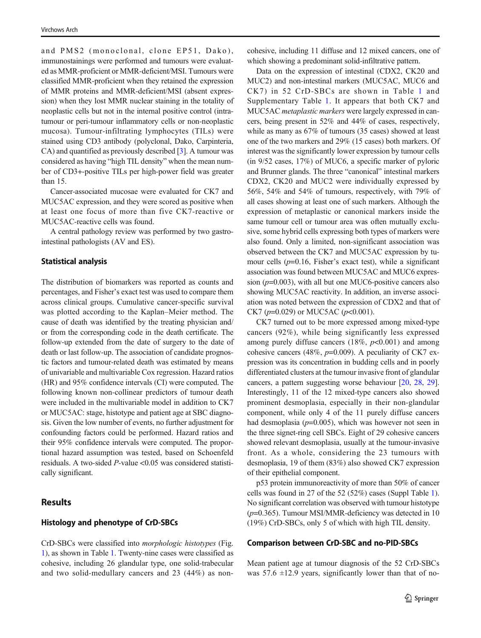and PMS2 (monoclonal, clone EP51, Dako), immunostainings were performed and tumours were evaluated as MMR-proficient or MMR-deficient/MSI. Tumours were classified MMR-proficient when they retained the expression of MMR proteins and MMR-deficient/MSI (absent expression) when they lost MMR nuclear staining in the totality of neoplastic cells but not in the internal positive control (intratumour or peri-tumour inflammatory cells or non-neoplastic mucosa). Tumour-infiltrating lymphocytes (TILs) were stained using CD3 antibody (polyclonal, Dako, Carpinteria, CA) and quantified as previously described [\[3](#page-9-0)]. A tumour was considered as having "high TIL density" when the mean number of CD3+-positive TILs per high-power field was greater than 15.

Cancer-associated mucosae were evaluated for CK7 and MUC5AC expression, and they were scored as positive when at least one focus of more than five CK7-reactive or MUC5AC-reactive cells was found.

A central pathology review was performed by two gastrointestinal pathologists (AV and ES).

#### Statistical analysis

The distribution of biomarkers was reported as counts and percentages, and Fisher's exact test was used to compare them across clinical groups. Cumulative cancer-specific survival was plotted according to the Kaplan–Meier method. The cause of death was identified by the treating physician and/ or from the corresponding code in the death certificate. The follow-up extended from the date of surgery to the date of death or last follow-up. The association of candidate prognostic factors and tumour-related death was estimated by means of univariable and multivariable Cox regression. Hazard ratios (HR) and 95% confidence intervals (CI) were computed. The following known non-collinear predictors of tumour death were included in the multivariable model in addition to CK7 or MUC5AC: stage, histotype and patient age at SBC diagnosis. Given the low number of events, no further adjustment for confounding factors could be performed. Hazard ratios and their 95% confidence intervals were computed. The proportional hazard assumption was tested, based on Schoenfeld residuals. A two-sided P-value <0.05 was considered statistically significant.

### Results

#### Histology and phenotype of CrD-SBCs

CrD-SBCs were classified into morphologic histotypes (Fig. [1\)](#page-3-0), as shown in Table [1.](#page-3-0) Twenty-nine cases were classified as cohesive, including 26 glandular type, one solid-trabecular and two solid-medullary cancers and 23 (44%) as noncohesive, including 11 diffuse and 12 mixed cancers, one of which showing a predominant solid-infiltrative pattern.

Data on the expression of intestinal (CDX2, CK20 and MUC2) and non-intestinal markers (MUC5AC, MUC6 and CK7) in 52 CrD-SBCs are shown in Table [1](#page-3-0) and Supplementary Table 1. It appears that both CK7 and MUC5AC metaplastic markers were largely expressed in cancers, being present in 52% and 44% of cases, respectively, while as many as 67% of tumours (35 cases) showed at least one of the two markers and 29% (15 cases) both markers. Of interest was the significantly lower expression by tumour cells (in 9/52 cases, 17%) of MUC6, a specific marker of pyloric and Brunner glands. The three "canonical" intestinal markers CDX2, CK20 and MUC2 were individually expressed by 56%, 54% and 54% of tumours, respectively, with 79% of all cases showing at least one of such markers. Although the expression of metaplastic or canonical markers inside the same tumour cell or tumour area was often mutually exclusive, some hybrid cells expressing both types of markers were also found. Only a limited, non-significant association was observed between the CK7 and MUC5AC expression by tumour cells  $(p=0.16,$  Fisher's exact test), while a significant association was found between MUC5AC and MUC6 expression  $(p=0.003)$ , with all but one MUC6-positive cancers also showing MUC5AC reactivity. In addition, an inverse association was noted between the expression of CDX2 and that of CK7 ( $p=0.029$ ) or MUC5AC ( $p<0.001$ ).

CK7 turned out to be more expressed among mixed-type cancers (92%), while being significantly less expressed among purely diffuse cancers  $(18\%, p<0.001)$  and among cohesive cancers (48%,  $p=0.009$ ). A peculiarity of CK7 expression was its concentration in budding cells and in poorly differentiated clusters at the tumour invasive front of glandular cancers, a pattern suggesting worse behaviour [\[20,](#page-9-0) [28,](#page-10-0) [29\]](#page-10-0). Interestingly, 11 of the 12 mixed-type cancers also showed prominent desmoplasia, especially in their non-glandular component, while only 4 of the 11 purely diffuse cancers had desmoplasia ( $p=0.005$ ), which was however not seen in the three signet-ring cell SBCs. Eight of 29 cohesive cancers showed relevant desmoplasia, usually at the tumour-invasive front. As a whole, considering the 23 tumours with desmoplasia, 19 of them (83%) also showed CK7 expression of their epithelial component.

p53 protein immunoreactivity of more than 50% of cancer cells was found in 27 of the 52 (52%) cases (Suppl Table 1). No significant correlation was observed with tumour histotype  $(p=0.365)$ . Tumour MSI/MMR-deficiency was detected in 10 (19%) CrD-SBCs, only 5 of which with high TIL density.

#### Comparison between CrD-SBC and no-PID-SBCs

Mean patient age at tumour diagnosis of the 52 CrD-SBCs was  $57.6 \pm 12.9$  years, significantly lower than that of no-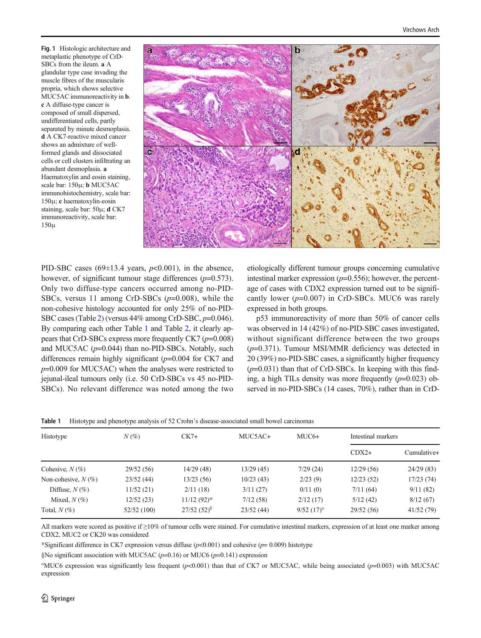<span id="page-3-0"></span>Fig. 1 Histologic architecture and metaplastic phenotype of CrD-SBCs from the ileum. a A glandular type case invading the muscle fibres of the muscularis propria, which shows selective MUC5AC immunoreactivity in b. c A diffuse-type cancer is composed of small dispersed, undifferentiated cells, partly separated by minute desmoplasia. d A CK7-reactive mixed cancer shows an admixture of wellformed glands and dissociated cells or cell clusters infiltrating an abundant desmoplasia. a Haematoxylin and eosin staining, scale bar: 150μ; b MUC5AC immunohistochemistry, scale bar: 150μ; c haematoxylin-eosin staining, scale bar: 50μ; d CK7 immunoreactivity, scale bar: 150μ



PID-SBC cases (69 $\pm$ 13.4 years,  $p$ <0.001), in the absence, however, of significant tumour stage differences  $(p=0.573)$ . Only two diffuse-type cancers occurred among no-PID-SBCs, versus 11 among CrD-SBCs  $(p=0.008)$ , while the non-cohesive histology accounted for only 25% of no-PID-SBC cases (Table [2\)](#page-4-0) (versus 44% among CrD-SBC, p=0.046). By comparing each other Table 1 and Table [2,](#page-4-0) it clearly appears that CrD-SBCs express more frequently CK7  $(p=0.008)$ and MUC5AC  $(p=0.044)$  than no-PID-SBCs. Notably, such differences remain highly significant  $(p=0.004$  for CK7 and  $p=0.009$  for MUC5AC) when the analyses were restricted to jejunal-ileal tumours only (i.e. 50 CrD-SBCs vs 45 no-PID-SBCs). No relevant difference was noted among the two etiologically different tumour groups concerning cumulative intestinal marker expression  $(p=0.556)$ ; however, the percentage of cases with CDX2 expression turned out to be significantly lower  $(p=0.007)$  in CrD-SBCs. MUC6 was rarely expressed in both groups.

p53 immunoreactivity of more than 50% of cancer cells was observed in 14 (42%) of no-PID-SBC cases investigated, without significant difference between the two groups  $(p=0.371)$ . Tumour MSI/MMR deficiency was detected in 20 (39%) no-PID-SBC cases, a significantly higher frequency  $(p=0.031)$  than that of CrD-SBCs. In keeping with this finding, a high TILs density was more frequently  $(p=0.023)$  observed in no-PID-SBCs (14 cases, 70%), rather than in CrD-

| Histotype             | $N(\%)$     | $CK7+$        | MUC5AC+   | $MUC6+$      | Intestinal markers |             |
|-----------------------|-------------|---------------|-----------|--------------|--------------------|-------------|
|                       |             |               |           |              | $CDX2+$            | Cumulative+ |
| Cohesive, $N(\%)$     | 29/52(56)   | 14/29(48)     | 13/29(45) | 7/29(24)     | 12/29(56)          | 24/29(83)   |
| Non-cohesive, $N(\%)$ | 23/52(44)   | 13/23(56)     | 10/23(43) | 2/23(9)      | 12/23(52)          | 17/23(74)   |
| Diffuse, $N(\%)$      | 11/52(21)   | 2/11(18)      | 3/11(27)  | 0/11(0)      | 7/11(64)           | 9/11(82)    |
| Mixed, $N(\%)$        | 12/52 (23)  | $11/12(92)^*$ | 7/12(58)  | 2/12(17)     | 5/12(42)           | 8/12(67)    |
| Total, $N(\%)$        | 52/52 (100) | $27/52(52)^8$ | 23/52(44) | $9/52(17)$ ° | 29/52(56)          | 41/52(79)   |

|  | <b>Table 1</b> Histotype and phenotype analysis of 52 Crohn's disease-associated small bowel carcinomas |  |  |  |  |  |  |
|--|---------------------------------------------------------------------------------------------------------|--|--|--|--|--|--|
|--|---------------------------------------------------------------------------------------------------------|--|--|--|--|--|--|

All markers were scored as positive if ≥10% of tumour cells were stained. For cumulative intestinal markers, expression of at least one marker among CDX2, MUC2 or CK20 was considered

\*Significant difference in CK7 expression versus diffuse  $(p<0.001)$  and cohesive  $(p= 0.009)$  histotype

§No significant association with MUC5AC ( $p=0.16$ ) or MUC6 ( $p=0.141$ ) expression

°MUC6 expression was significantly less frequent ( $p$ <0.001) than that of CK7 or MUC5AC, while being associated ( $p$ =0.003) with MUC5AC expression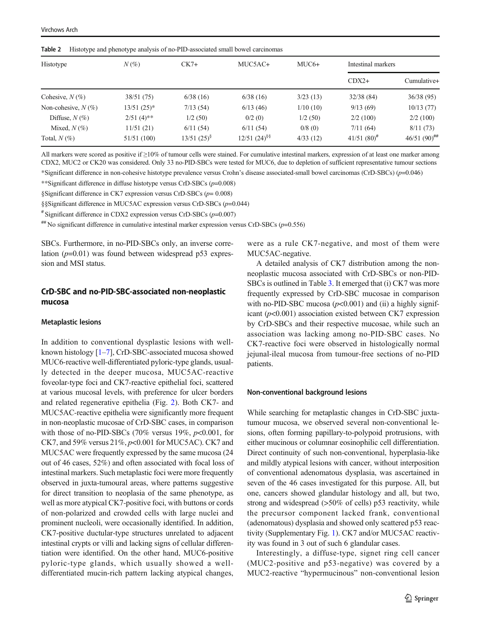| Histotype             | $N(\%)$         | $CK7+$           | MUC5AC+              | $MUC6+$  | Intestinal markers |                            |
|-----------------------|-----------------|------------------|----------------------|----------|--------------------|----------------------------|
|                       |                 |                  |                      |          | $CDX2+$            | Cumulative+                |
| Cohesive, $N(\%)$     | 38/51 (75)      | 6/38(16)         | 6/38(16)             | 3/23(13) | 32/38(84)          | 36/38(95)                  |
| Non-cohesive, $N(\%)$ | $13/51$ $(25)*$ | 7/13(54)         | 6/13(46)             | 1/10(10) | 9/13(69)           | 10/13(77)                  |
| Diffuse, $N(\%)$      | $2/51(4)$ **    | 1/2(50)          | 0/2(0)               | 1/2(50)  | 2/2(100)           | 2/2(100)                   |
| Mixed, $N(\%)$        | 11/51(21)       | 6/11(54)         | 6/11(54)             | 0/8(0)   | 7/11(64)           | 8/11(73)                   |
| Total, $N(\%)$        | 51/51 (100)     | $13/51$ $(25)^8$ | $12/51$ $(24)^{\$}\$ | 4/33(12) | $41/51 (80)^{\#}$  | 46/51 $(90)$ <sup>##</sup> |

<span id="page-4-0"></span>Table 2 Histotype and phenotype analysis of no-PID-associated small bowel carcinomas

All markers were scored as positive if ≥10% of tumour cells were stained. For cumulative intestinal markers, expression of at least one marker among CDX2, MUC2 or CK20 was considered. Only 33 no-PID-SBCs were tested for MUC6, due to depletion of sufficient representative tumour sections \*Significant difference in non-cohesive histotype prevalence versus Crohn's disease associated-small bowel carcinomas (CrD-SBCs) (p=0.046)

\*\*Significant difference in diffuse histotype versus CrD-SBCs  $(p=0.008)$ 

§Significant difference in CK7 expression versus CrD-SBCs (p= 0.008)

§§Significant difference in MUC5AC expression versus CrD-SBCs (p=0.044)

 $*$  Significant difference in CDX2 expression versus CrD-SBCs ( $p=0.007$ )

 $\#$  No significant difference in cumulative intestinal marker expression versus CrD-SBCs ( $p=0.556$ )

SBCs. Furthermore, in no-PID-SBCs only, an inverse correlation  $(p=0.01)$  was found between widespread p53 expression and MSI status.

# CrD-SBC and no-PID-SBC-associated non-neoplastic mucosa

#### Metaplastic lesions

In addition to conventional dysplastic lesions with wellknown histology [\[1](#page-9-0)–[7](#page-9-0)], CrD-SBC-associated mucosa showed MUC6-reactive well-differentiated pyloric-type glands, usually detected in the deeper mucosa, MUC5AC-reactive foveolar-type foci and CK7-reactive epithelial foci, scattered at various mucosal levels, with preference for ulcer borders and related regenerative epithelia (Fig. [2\)](#page-5-0). Both CK7- and MUC5AC-reactive epithelia were significantly more frequent in non-neoplastic mucosae of CrD-SBC cases, in comparison with those of no-PID-SBCs (70% versus 19%,  $p<0.001$ , for CK7, and 59% versus  $21\%, p<0.001$  for MUC5AC). CK7 and MUC5AC were frequently expressed by the same mucosa (24 out of 46 cases, 52%) and often associated with focal loss of intestinal markers. Such metaplastic foci were more frequently observed in juxta-tumoural areas, where patterns suggestive for direct transition to neoplasia of the same phenotype, as well as more atypical CK7-positive foci, with buttons or cords of non-polarized and crowded cells with large nuclei and prominent nucleoli, were occasionally identified. In addition, CK7-positive ductular-type structures unrelated to adjacent intestinal crypts or villi and lacking signs of cellular differentiation were identified. On the other hand, MUC6-positive pyloric-type glands, which usually showed a welldifferentiated mucin-rich pattern lacking atypical changes,

were as a rule CK7-negative, and most of them were MUC5AC-negative.

A detailed analysis of CK7 distribution among the nonneoplastic mucosa associated with CrD-SBCs or non-PID-SBCs is outlined in Table [3](#page-5-0). It emerged that (i) CK7 was more frequently expressed by CrD-SBC mucosae in comparison with no-PID-SBC mucosa  $(p<0.001)$  and (ii) a highly significant  $(p<0.001)$  association existed between CK7 expression by CrD-SBCs and their respective mucosae, while such an association was lacking among no-PID-SBC cases. No CK7-reactive foci were observed in histologically normal jejunal-ileal mucosa from tumour-free sections of no-PID patients.

#### Non-conventional background lesions

While searching for metaplastic changes in CrD-SBC juxtatumour mucosa, we observed several non-conventional lesions, often forming papillary-to-polypoid protrusions, with either mucinous or columnar eosinophilic cell differentiation. Direct continuity of such non-conventional, hyperplasia-like and mildly atypical lesions with cancer, without interposition of conventional adenomatous dysplasia, was ascertained in seven of the 46 cases investigated for this purpose. All, but one, cancers showed glandular histology and all, but two, strong and widespread (>50% of cells) p53 reactivity, while the precursor component lacked frank, conventional (adenomatous) dysplasia and showed only scattered p53 reactivity (Supplementary Fig. 1). CK7 and/or MUC5AC reactivity was found in 3 out of such 6 glandular cases.

Interestingly, a diffuse-type, signet ring cell cancer (MUC2-positive and p53-negative) was covered by a MUC2-reactive "hypermucinous" non-conventional lesion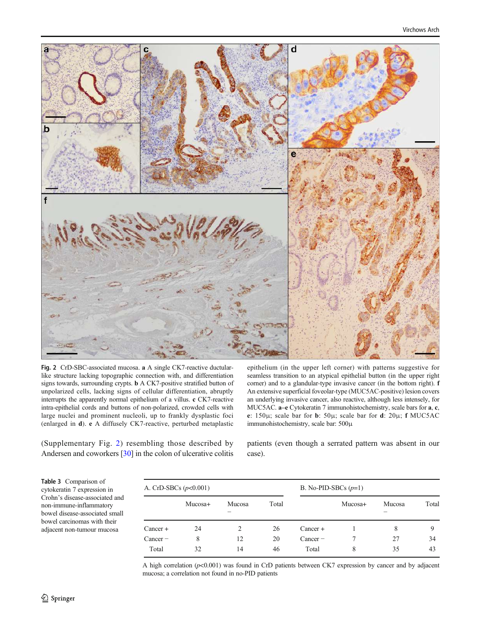<span id="page-5-0"></span>

Fig. 2 CrD-SBC-associated mucosa. a A single CK7-reactive ductularlike structure lacking topographic connection with, and differentiation signs towards, surrounding crypts. b A CK7-positive stratified button of unpolarized cells, lacking signs of cellular differentiation, abruptly interrupts the apparently normal epithelium of a villus. c CK7-reactive intra-epithelial cords and buttons of non-polarized, crowded cells with large nuclei and prominent nucleoli, up to frankly dysplastic foci (enlarged in d). e A diffusely CK7-reactive, perturbed metaplastic

epithelium (in the upper left corner) with patterns suggestive for seamless transition to an atypical epithelial button (in the upper right corner) and to a glandular-type invasive cancer (in the bottom right). f An extensive superficial foveolar-type (MUC5AC-positive) lesion covers an underlying invasive cancer, also reactive, although less intensely, for MUC5AC. a–e Cytokeratin 7 immunohistochemistry, scale bars for a, c, e: 150μ; scale bar for b: 50μ; scale bar for d: 20μ; f MUC5AC immunohistochemistry, scale bar: 500μ

(Supplementary Fig. 2) resembling those described by Andersen and coworkers [[30](#page-10-0)] in the colon of ulcerative colitis patients (even though a serrated pattern was absent in our case).

Table 3 Comparison of cytokeratin 7 expression in Crohn's disease-associated and non-immune-inflammatory bowel disease-associated small bowel carcinomas with their adjacent non-tumour mucosa

| A. CrD-SBCs $(p<0.001)$ |         |        |       | B. No-PID-SBCs $(p=1)$ |         |        |       |
|-------------------------|---------|--------|-------|------------------------|---------|--------|-------|
|                         | Mucosa+ | Mucosa | Total |                        | Mucosa+ | Mucosa | Total |
| Cancer +                | 24      | 2      | 26    | $Cancer +$             |         | 8      |       |
| $Cancer -$              | 8       | 12     | 20    | $Cancer -$             |         | 27     | 34    |
| Total                   | 32      | 14     | 46    | Total                  | 8       | 35     | 43    |

A high correlation  $(p<0.001)$  was found in CrD patients between CK7 expression by cancer and by adjacent mucosa; a correlation not found in no-PID patients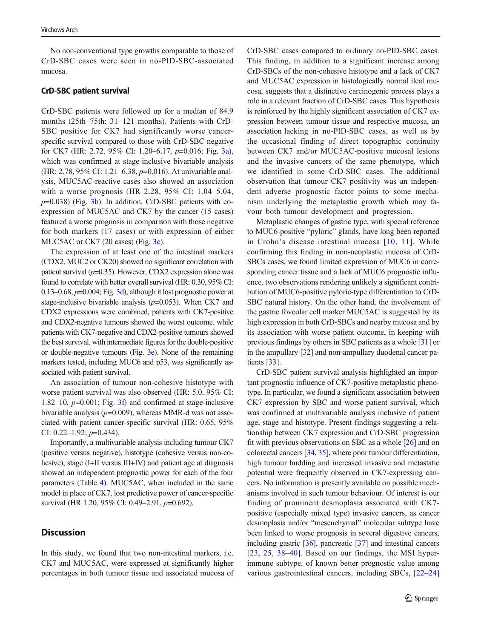No non-conventional type growths comparable to those of CrD-SBC cases were seen in no-PID-SBC-associated mucosa.

#### CrD-SBC patient survival

CrD-SBC patients were followed up for a median of 84.9 months (25th–75th: 31–121 months). Patients with CrD-SBC positive for CK7 had significantly worse cancerspecific survival compared to those with CrD-SBC negative for CK7 (HR: 2.72, 95% CI: 1.20–6.17, p=0.016; Fig. [3a\)](#page-7-0), which was confirmed at stage-inclusive bivariable analysis (HR: 2.78, 95% CI: 1.21–6.38, p=0.016). At univariable analysis, MUC5AC-reactive cases also showed an association with a worse prognosis (HR 2.28, 95% CI: 1.04–5.04,  $p=0.038$ ) (Fig. [3b](#page-7-0)). In addition, CrD-SBC patients with coexpression of MUC5AC and CK7 by the cancer (15 cases) featured a worse prognosis in comparison with those negative for both markers (17 cases) or with expression of either MUC5AC or CK7 (20 cases) (Fig. [3c](#page-7-0)).

The expression of at least one of the intestinal markers (CDX2, MUC2 or CK20) showed no significant correlation with patient survival  $(p=0.35)$ . However, CDX2 expression alone was found to correlate with better overall survival (HR: 0.30, 95% CI: 0.13–0.68,  $p=0.004$ ; Fig. [3d](#page-7-0)), although it lost prognostic power at stage-inclusive bivariable analysis  $(p=0.053)$ . When CK7 and CDX2 expressions were combined, patients with CK7-positive and CDX2-negative tumours showed the worst outcome, while patients with CK7-negative and CDX2-positive tumours showed the best survival, with intermediate figures for the double-positive or double-negative tumours (Fig. [3e](#page-7-0)). None of the remaining markers tested, including MUC6 and p53, was significantly associated with patient survival.

An association of tumour non-cohesive histotype with worse patient survival was also observed (HR: 5.0, 95% CI: 1.82–10,  $p=0.001$ ; Fig. [3f\)](#page-7-0) and confirmed at stage-inclusive bivariable analysis ( $p=0.009$ ), whereas MMR-d was not associated with patient cancer-specific survival (HR: 0.65, 95% CI: 0.22–1.92;  $p=0.434$ ).

Importantly, a multivariable analysis including tumour CK7 (positive versus negative), histotype (cohesive versus non-cohesive), stage (I+II versus III+IV) and patient age at diagnosis showed an independent prognostic power for each of the four parameters (Table [4](#page-8-0)). MUC5AC, when included in the same model in place of CK7, lost predictive power of cancer-specific survival (HR 1.20, 95% CI: 0.49–2.91, p=0.692).

# **Discussion**

In this study, we found that two non-intestinal markers, i.e. CK7 and MUC5AC, were expressed at significantly higher percentages in both tumour tissue and associated mucosa of CrD-SBC cases compared to ordinary no-PID-SBC cases. This finding, in addition to a significant increase among CrD-SBCs of the non-cohesive histotype and a lack of CK7 and MUC5AC expression in histologically normal ileal mucosa, suggests that a distinctive carcinogenic process plays a role in a relevant fraction of CrD-SBC cases. This hypothesis is reinforced by the highly significant association of CK7 expression between tumour tissue and respective mucosa, an association lacking in no-PID-SBC cases, as well as by the occasional finding of direct topographic continuity between CK7 and/or MUC5AC-positive mucosal lesions and the invasive cancers of the same phenotype, which we identified in some CrD-SBC cases. The additional observation that tumour CK7 positivity was an independent adverse prognostic factor points to some mechanism underlying the metaplastic growth which may favour both tumour development and progression.

Metaplastic changes of gastric type, with special reference to MUC6-positive "pyloric" glands, have long been reported in Crohn's disease intestinal mucosa [[10,](#page-9-0) [11\]](#page-9-0). While confirming this finding in non-neoplastic mucosa of CrD-SBCs cases, we found limited expression of MUC6 in corresponding cancer tissue and a lack of MUC6 prognostic influence, two observations rendering unlikely a significant contribution of MUC6-positive pyloric-type differentiation to CrD-SBC natural history. On the other hand, the involvement of the gastric foveolar cell marker MUC5AC is suggested by its high expression in both CrD-SBCs and nearby mucosa and by its association with worse patient outcome, in keeping with previous findings by others in SBC patients as a whole [\[31\]](#page-10-0) or in the ampullary [\[32\]](#page-10-0) and non-ampullary duodenal cancer patients [[33](#page-10-0)].

CrD-SBC patient survival analysis highlighted an important prognostic influence of CK7-positive metaplastic phenotype. In particular, we found a significant association between CK7 expression by SBC and worse patient survival, which was confirmed at multivariable analysis inclusive of patient age, stage and histotype. Present findings suggesting a relationship between CK7 expression and CrD-SBC progression fit with previous observations on SBC as a whole [[26](#page-9-0)] and on colorectal cancers [\[34,](#page-10-0) [35\]](#page-10-0), where poor tumour differentiation, high tumour budding and increased invasive and metastatic potential were frequently observed in CK7-expressing cancers. No information is presently available on possible mechanisms involved in such tumour behaviour. Of interest is our finding of prominent desmoplasia associated with CK7 positive (especially mixed type) invasive cancers, as cancer desmoplasia and/or "mesenchymal" molecular subtype have been linked to worse prognosis in several digestive cancers, including gastric [\[36\]](#page-10-0), pancreatic [\[37\]](#page-10-0) and intestinal cancers [\[23,](#page-9-0) [25,](#page-9-0) [38](#page-10-0)–[40\]](#page-10-0). Based on our findings, the MSI hyperimmune subtype, of known better prognostic value among various gastrointestinal cancers, including SBCs, [[22](#page-9-0)–[24](#page-9-0)]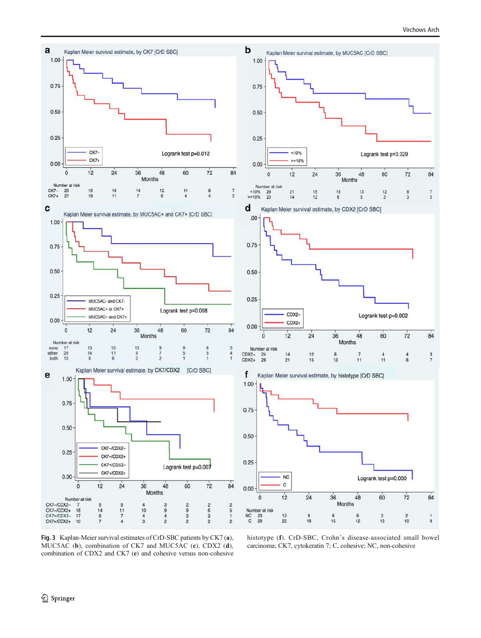<span id="page-7-0"></span>

Fig. 3 Kaplan-Meier survival estimates of CrD-SBC patients by CK7 (a), MUC5AC (b), combination of CK7 and MUC5AC (c), CDX2 (d), combination of CDX2 and CK7 (e) and cohesive versus non-cohesive

histotype (f). CrD-SBC, Crohn's disease-associated small bowel carcinoma; CK7, cytokeratin 7; C, cohesive; NC, non-cohesive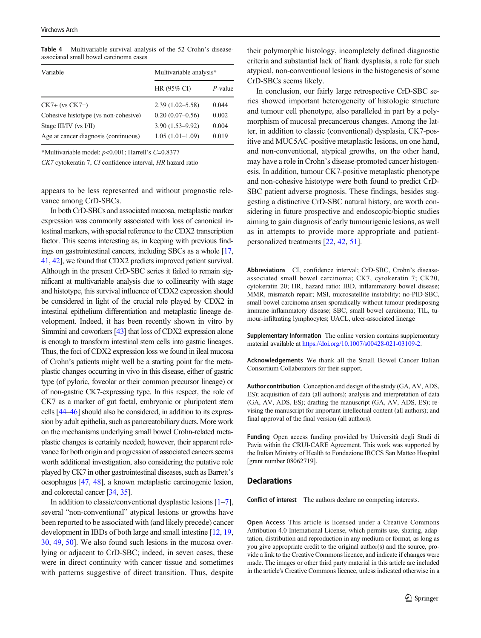<span id="page-8-0"></span>Table 4 Multivariable survival analysis of the 52 Crohn's diseaseassociated small bowel carcinoma cases

| Variable                             | Multivariable analysis* |            |  |  |
|--------------------------------------|-------------------------|------------|--|--|
|                                      | HR (95% CI)             | $P$ -value |  |  |
| $CK7+$ (vs $CK7-$ )                  | $2.39(1.02 - 5.58)$     | 0.044      |  |  |
| Cohesive histotype (vs non-cohesive) | $0.20(0.07-0.56)$       | 0.002      |  |  |
| Stage III/IV (vs I/II)               | $3.90(1.53 - 9.92)$     | 0.004      |  |  |
| Age at cancer diagnosis (continuous) | $1.05(1.01-1.09)$       | 0.019      |  |  |

\*Multivariable model: p<0.001; Harrell'<sup>s</sup> C=0.8377

CK7 cytokeratin 7, CI confidence interval, HR hazard ratio

appears to be less represented and without prognostic relevance among CrD-SBCs.

In both CrD-SBCs and associated mucosa, metaplastic marker expression was commonly associated with loss of canonical intestinal markers, with special reference to the CDX2 transcription factor. This seems interesting as, in keeping with previous findings on gastrointestinal cancers, including SBCs as a whole [\[17,](#page-9-0) [41](#page-10-0), [42](#page-10-0)], we found that CDX2 predicts improved patient survival. Although in the present CrD-SBC series it failed to remain significant at multivariable analysis due to collinearity with stage and histotype, this survival influence of CDX2 expression should be considered in light of the crucial role played by CDX2 in intestinal epithelium differentiation and metaplastic lineage development. Indeed, it has been recently shown in vitro by Simmini and coworkers [\[43\]](#page-10-0) that loss of CDX2 expression alone is enough to transform intestinal stem cells into gastric lineages. Thus, the foci of CDX2 expression loss we found in ileal mucosa of Crohn's patients might well be a starting point for the metaplastic changes occurring in vivo in this disease, either of gastric type (of pyloric, foveolar or their common precursor lineage) or of non-gastric CK7-expressing type. In this respect, the role of CK7 as a marker of gut foetal, embryonic or pluripotent stem cells [[44](#page-10-0)–[46](#page-10-0)] should also be considered, in addition to its expression by adult epithelia, such as pancreatobiliary ducts. More work on the mechanisms underlying small bowel Crohn-related metaplastic changes is certainly needed; however, their apparent relevance for both origin and progression of associated cancers seems worth additional investigation, also considering the putative role played by CK7 in other gastrointestinal diseases, such as Barrett's oesophagus [[47,](#page-10-0) [48\]](#page-10-0), a known metaplastic carcinogenic lesion, and colorectal cancer [\[34](#page-10-0), [35](#page-10-0)].

In addition to classic/conventional dysplastic lesions  $[1-7]$  $[1-7]$  $[1-7]$  $[1-7]$ , several "non-conventional" atypical lesions or growths have been reported to be associated with (and likely precede) cancer development in IBDs of both large and small intestine [[12](#page-9-0), [19,](#page-9-0) [30,](#page-10-0) [49,](#page-10-0) [50](#page-10-0)]. We also found such lesions in the mucosa overlying or adjacent to CrD-SBC; indeed, in seven cases, these were in direct continuity with cancer tissue and sometimes with patterns suggestive of direct transition. Thus, despite

their polymorphic histology, incompletely defined diagnostic criteria and substantial lack of frank dysplasia, a role for such atypical, non-conventional lesions in the histogenesis of some CrD-SBCs seems likely.

In conclusion, our fairly large retrospective CrD-SBC series showed important heterogeneity of histologic structure and tumour cell phenotype, also paralleled in part by a polymorphism of mucosal precancerous changes. Among the latter, in addition to classic (conventional) dysplasia, CK7-positive and MUC5AC-positive metaplastic lesions, on one hand, and non-conventional, atypical growths, on the other hand, may have a role in Crohn's disease-promoted cancer histogenesis. In addition, tumour CK7-positive metaplastic phenotype and non-cohesive histotype were both found to predict CrD-SBC patient adverse prognosis. These findings, besides suggesting a distinctive CrD-SBC natural history, are worth considering in future prospective and endoscopic/bioptic studies aiming to gain diagnosis of early tumourigenic lesions, as well as in attempts to provide more appropriate and patientpersonalized treatments [\[22](#page-9-0), [42,](#page-10-0) [51\]](#page-10-0).

Abbreviations CI, confidence interval; CrD-SBC, Crohn's diseaseassociated small bowel carcinoma; CK7, cytokeratin 7; CK20, cytokeratin 20; HR, hazard ratio; IBD, inflammatory bowel disease; MMR, mismatch repair; MSI, microsatellite instability; no-PID-SBC, small bowel carcinoma arisen sporadically without tumour predisposing immune-inflammatory disease; SBC, small bowel carcinoma; TIL, tumour-infiltrating lymphocytes; UACL, ulcer-associated lineage

Supplementary Information The online version contains supplementary material available at [https://doi.org/10.1007/s00428-021-03109-2.](https://doi.org/10.1007/s00428-021-03109-2)

Acknowledgements We thank all the Small Bowel Cancer Italian Consortium Collaborators for their support.

Author contribution Conception and design of the study (GA, AV, ADS, ES); acquisition of data (all authors); analysis and interpretation of data (GA, AV, ADS, ES); drafting the manuscript (GA, AV, ADS, ES); revising the manuscript for important intellectual content (all authors); and final approval of the final version (all authors).

Funding Open access funding provided by Università degli Studi di Pavia within the CRUI-CARE Agreement. This work was supported by the Italian Ministry of Health to Fondazione IRCCS San Matteo Hospital [grant number 08062719].

#### **Declarations**

Conflict of interest The authors declare no competing interests.

Open Access This article is licensed under a Creative Commons Attribution 4.0 International License, which permits use, sharing, adaptation, distribution and reproduction in any medium or format, as long as you give appropriate credit to the original author(s) and the source, provide a link to the Creative Commons licence, and indicate if changes were made. The images or other third party material in this article are included in the article's Creative Commons licence, unless indicated otherwise in a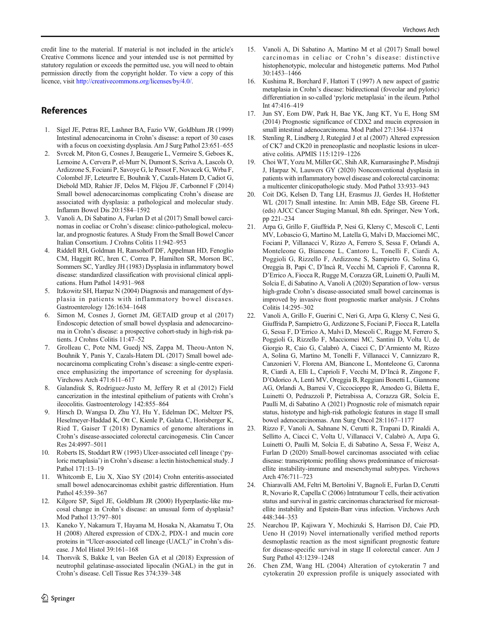<span id="page-9-0"></span>credit line to the material. If material is not included in the article's Creative Commons licence and your intended use is not permitted by statutory regulation or exceeds the permitted use, you will need to obtain permission directly from the copyright holder. To view a copy of this licence, visit <http://creativecommons.org/licenses/by/4.0/>.

# **References**

- 1. Sigel JE, Petras RE, Lashner BA, Fazio VW, Goldblum JR (1999) Intestinal adenocarcinoma in Crohn's disease: a report of 30 cases with a focus on coexisting dysplasia. Am J Surg Pathol 23:651–655
- 2. Svrcek M, Piton G, Cosnes J, Beaugerie L, Vermeire S, Geboes K, Lemoine A, Cervera P, el-Murr N, Dumont S, Scriva A, Lascols O, Ardizzone S, Fociani P, Savoye G, le Pessot F, Novacek G, Wrba F, Colombel JF, Leteurtre E, Bouhnik Y, Cazals-Hatem D, Cadiot G, Diebold MD, Rahier JF, Delos M, Fléjou JF, Carbonnel F (2014) Small bowel adenocarcinomas complicating Crohn's disease are associated with dysplasia: a pathological and molecular study. Inflamm Bowel Dis 20:1584–1592
- 3. Vanoli A, Di Sabatino A, Furlan D et al (2017) Small bowel carcinomas in coeliac or Crohn's disease: clinico-pathological, molecular, and prognostic features. A Study From the Small Bowel Cancer Italian Consortium. J Crohns Colitis 11:942–953
- 4. Riddell RH, Goldman H, Ransohoff DF, Appelman HD, Fenoglio CM, Haggitt RC, hren C, Correa P, Hamilton SR, Morson BC, Sommers SC, Yardley JH (1983) Dysplasia in inflammatory bowel disease: standardized classification with provisional clinical applications. Hum Pathol 14:931–968
- 5. Itzkowitz SH, Harpaz N (2004) Diagnosis and management of dysplasia in patients with inflammatory bowel diseases. Gastroenterology 126:1634–1648
- 6. Simon M, Cosnes J, Gornet JM, GETAID group et al (2017) Endoscopic detection of small bowel dysplasia and adenocarcinoma in Crohn's disease: a prospective cohort-study in high-risk patients. J Crohns Colitis 11:47–52
- 7. Grolleau C, Pote NM, Guedj NS, Zappa M, Theou-Anton N, Bouhnik Y, Panis Y, Cazals-Hatem DL (2017) Small bowel adenocarcinoma complicating Crohn's disease: a single-centre experience emphasizing the importance of screening for dysplasia. Virchows Arch 471:611–617
- 8. Galandiuk S, Rodriguez-Justo M, Jeffery R et al (2012) Field cancerization in the intestinal epithelium of patients with Crohn's ileocolitis. Gastroenterology 142:855–864
- 9. Hirsch D, Wangsa D, Zhu YJ, Hu Y, Edelman DC, Meltzer PS, Heselmeyer-Haddad K, Ott C, Kienle P, Galata C, Horisberger K, Ried T, Gaiser T (2018) Dynamics of genome alterations in Crohn's disease-associated colorectal carcinogenesis. Clin Cancer Res 24:4997–5011
- 10. Roberts IS, Stoddart RW (1993) Ulcer-associated cell lineage ('pyloric metaplasia') in Crohn's disease: a lectin histochemical study. J Pathol 171:13–19
- 11. Whitcomb E, Liu X, Xiao SY (2014) Crohn enteritis-associated small bowel adenocarcinomas exhibit gastric differentiation. Hum Pathol 45:359–367
- 12. Kilgore SP, Sigel JE, Goldblum JR (2000) Hyperplastic-like mucosal change in Crohn's disease: an unusual form of dysplasia? Mod Pathol 13:797–801
- 13. Kaneko Y, Nakamura T, Hayama M, Hosaka N, Akamatsu T, Ota H (2008) Altered expression of CDX-2, PDX-1 and mucin core proteins in "Ulcer-associated cell lineage (UACL)" in Crohn's disease. J Mol Histol 39:161–168
- 14. Thorsvik S, Bakke I, van Beelen GA et al (2018) Expression of neutrophil gelatinase-associated lipocalin (NGAL) in the gut in Crohn's disease. Cell Tissue Res 374:339–348
- 15. Vanoli A, Di Sabatino A, Martino M et al (2017) Small bowel carcinomas in celiac or Crohn's disease: distinctive histophenotypic, molecular and histogenetic patterns. Mod Pathol 30:1453–1466
- 16. Kushima R, Borchard F, Hattori T (1997) A new aspect of gastric metaplasia in Crohn's disease: bidirectional (foveolar and pyloric) differentiation in so-called 'pyloric metaplasia' in the ileum. Pathol Int 47:416–419
- 17. Jun SY, Eom DW, Park H, Bae YK, Jang KT, Yu E, Hong SM (2014) Prognostic significance of CDX2 and mucin expression in small intestinal adenocarcinoma. Mod Pathol 27:1364–1374
- 18. Stenling R, Lindberg J, Rutegård J et al (2007) Altered expression of CK7 and CK20 in preneoplastic and neoplastic lesions in ulcerative colitis. APMIS 115:1219–1226
- 19. Choi WT, Yozu M, Miller GC, Shih AR, Kumarasinghe P, Misdraji J, Harpaz N, Lauwers GY (2020) Nonconventional dysplasia in patients with inflammatory bowel disease and colorectal carcinoma: a multicenter clinicopathologic study. Mod Pathol 33:933–943
- 20. Coit DG, Kelsen D, Tang LH, Erasmus JJ, Gerdes H, Hofstetter WL (2017) Small intestine. In: Amin MB, Edge SB, Greene FL (eds) AJCC Cancer Staging Manual, 8th edn. Springer, New York, pp 221–234
- 21. Arpa G, Grillo F, Giuffrida P, Nesi G, Klersy C, Mescoli C, Lenti MV, Lobascio G, Martino M, Latella G, Malvi D, Macciomei MC, Fociani P, Villanacci V, Rizzo A, Ferrero S, Sessa F, Orlandi A, Monteleone G, Biancone L, Cantoro L, Tonelli F, Ciardi A, Poggioli G, Rizzello F, Ardizzone S, Sampietro G, Solina G, Oreggia B, Papi C, D'Incà R, Vecchi M, Caprioli F, Caronna R, D'Errico A, Fiocca R, Rugge M, Corazza GR, Luinetti O, Paulli M, Solcia E, di Sabatino A, Vanoli A (2020) Separation of low- versus high-grade Crohn's disease-associated small bowel carcinomas is improved by invasive front prognostic marker analysis. J Crohns Colitis 14:295–302
- 22. Vanoli A, Grillo F, Guerini C, Neri G, Arpa G, Klersy C, Nesi G, Giuffrida P, Sampietro G, Ardizzone S, Fociani P, Fiocca R, Latella G, Sessa F, D'Errico A, Malvi D, Mescoli C, Rugge M, Ferrero S, Poggioli G, Rizzello F, Macciomei MC, Santini D, Volta U, de Giorgio R, Caio G, Calabrò A, Ciacci C, D'Armiento M, Rizzo A, Solina G, Martino M, Tonelli F, Villanacci V, Cannizzaro R, Canzonieri V, Florena AM, Biancone L, Monteleone G, Caronna R, Ciardi A, Elli L, Caprioli F, Vecchi M, D'Incà R, Zingone F, D'Odorico A, Lenti MV, Oreggia B, Reggiani Bonetti L, Giannone AG, Orlandi A, Barresi V, Ciccocioppo R, Amodeo G, Biletta E, Luinetti O, Pedrazzoli P, Pietrabissa A, Corazza GR, Solcia E, Paulli M, di Sabatino A (2021) Prognostic role of mismatch repair status, histotype and high-risk pathologic features in stage II small bowel adenocarcinomas. Ann Surg Oncol 28:1167–1177
- 23. Rizzo F, Vanoli A, Sahnane N, Cerutti R, Trapani D, Rinaldi A, Sellitto A, Ciacci C, Volta U, Villanacci V, Calabrò A, Arpa G, Luinetti O, Paulli M, Solcia E, di Sabatino A, Sessa F, Weisz A, Furlan D (2020) Small-bowel carcinomas associated with celiac disease: transcriptomic profiling shows predominance of microsatellite instability-immune and mesenchymal subtypes. Virchows Arch 476:711–723
- 24. Chiaravalli AM, Feltri M, Bertolini V, Bagnoli E, Furlan D, Cerutti R, Novario R, Capella C (2006) Intratumour T cells, their activation status and survival in gastric carcinomas characterised for microsatellite instability and Epstein-Barr virus infection. Virchows Arch 448:344–353
- 25. Nearchou IP, Kajiwara Y, Mochizuki S, Harrison DJ, Caie PD, Ueno H (2019) Novel internationally verified method reports desmoplastic reaction as the most significant prognostic feature for disease-specific survival in stage II colorectal cancer. Am J Surg Pathol 43:1239–1248
- 26. Chen ZM, Wang HL (2004) Alteration of cytokeratin 7 and cytokeratin 20 expression profile is uniquely associated with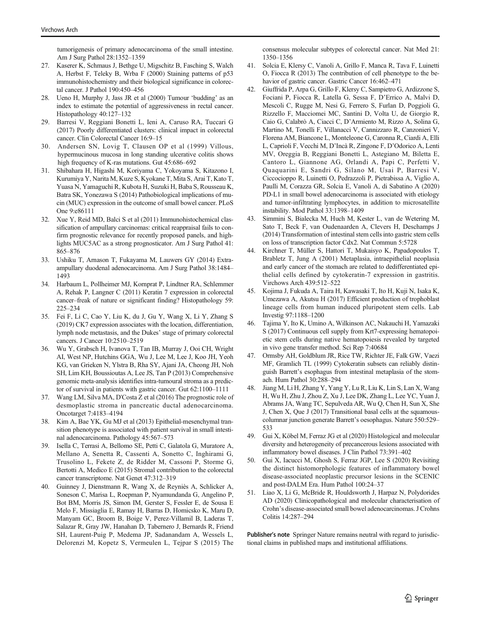<span id="page-10-0"></span>tumorigenesis of primary adenocarcinoma of the small intestine. Am J Surg Pathol 28:1352–1359

- Kaserer K, Schmaus J, Bethge U, Migschitz B, Fasching S, Walch A, Herbst F, Teleky B, Wrba F (2000) Staining patterns of p53 immunohistochemistry and their biological significance in colorectal cancer. J Pathol 190:450–456
- 28. Ueno H, Murphy J, Jass JR et al (2000) Tumour 'budding' as an index to estimate the potential of aggressiveness in rectal cancer. Histopathology 40:127–132
- 29. Barresi V, Reggiani Bonetti L, Ieni A, Caruso RA, Tuccari G (2017) Poorly differentiated clusters: clinical impact in colorectal cancer. Clin Colorectal Cancer 16:9–15
- 30. Andersen SN, Lovig T, Clausen OP et al (1999) Villous, hypermucinous mucosa in long standing ulcerative colitis shows high frequency of K-ras mutations. Gut 45:686–692
- 31. Shibahara H, Higashi M, Koriyama C, Yokoyama S, Kitazono I, Kurumiya Y, Narita M, Kuze S, Kyokane T, Mita S, Arai T, Kato T, Yuasa N, Yamaguchi R, Kubota H, Suzuki H, Baba S, Rousseau K, Batra SK, Yonezawa S (2014) Pathobiological implications of mucin (MUC) expression in the outcome of small bowel cancer. PLoS One 9:e86111
- 32. Xue Y, Reid MD, Balci S et al (2011) Immunohistochemical classification of ampullary carcinomas: critical reappraisal fails to confirm prognostic relevance for recently proposed panels, and highlights MUC5AC as a strong prognosticator. Am J Surg Pathol 41: 865–876
- 33. Ushiku T, Arnason T, Fukayama M, Lauwers GY (2014) Extraampullary duodenal adenocarcinoma. Am J Surg Pathol 38:1484– 1493
- 34. Harbaum L, Pollheimer MJ, Kornprat P, Lindtner RA, Schlemmer A, Rehak P, Langner C (2011) Keratin 7 expression in colorectal cancer–freak of nature or significant finding? Histopathology 59: 225–234
- 35. Fei F, Li C, Cao Y, Liu K, du J, Gu Y, Wang X, Li Y, Zhang S (2019) CK7 expression associates with the location, differentiation, lymph node metastasis, and the Dukes' stage of primary colorectal cancers. J Cancer 10:2510–2519
- 36. Wu Y, Grabsch H, Ivanova T, Tan IB, Murray J, Ooi CH, Wright AI, West NP, Hutchins GGA, Wu J, Lee M, Lee J, Koo JH, Yeoh KG, van Grieken N, Ylstra B, Rha SY, Ajani JA, Cheong JH, Noh SH, Lim KH, Boussioutas A, Lee JS, Tan P (2013) Comprehensive genomic meta-analysis identifies intra-tumoural stroma as a predictor of survival in patients with gastric cancer. Gut 62:1100–1111
- 37. Wang LM, Silva MA, D'Costa Z et al (2016) The prognostic role of desmoplastic stroma in pancreatic ductal adenocarcinoma. Oncotarget 7:4183–4194
- 38. Kim A, Bae YK, Gu MJ et al (2013) Epithelial-mesenchymal transition phenotype is associated with patient survival in small intestinal adenocarcinoma. Pathology 45:567–573
- 39. Isella C, Terrasi A, Bellomo SE, Petti C, Galatola G, Muratore A, Mellano A, Senetta R, Cassenti A, Sonetto C, Inghirami G, Trusolino L, Fekete Z, de Ridder M, Cassoni P, Storme G, Bertotti A, Medico E (2015) Stromal contribution to the colorectal cancer transcriptome. Nat Genet 47:312–319
- 40. Guinney J, Dienstmann R, Wang X, de Reyniès A, Schlicker A, Soneson C, Marisa L, Roepman P, Nyamundanda G, Angelino P, Bot BM, Morris JS, Simon IM, Gerster S, Fessler E, de Sousa E Melo F, Missiaglia E, Ramay H, Barras D, Homicsko K, Maru D, Manyam GC, Broom B, Boige V, Perez-Villamil B, Laderas T, Salazar R, Gray JW, Hanahan D, Tabernero J, Bernards R, Friend SH, Laurent-Puig P, Medema JP, Sadanandam A, Wessels L, Delorenzi M, Kopetz S, Vermeulen L, Tejpar S (2015) The

consensus molecular subtypes of colorectal cancer. Nat Med 21: 1350–1356

- 41. Solcia E, Klersy C, Vanoli A, Grillo F, Manca R, Tava F, Luinetti O, Fiocca R (2013) The contribution of cell phenotype to the behavior of gastric cancer. Gastric Cancer 16:462–471
- 42. Giuffrida P, Arpa G, Grillo F, Klersy C, Sampietro G, Ardizzone S, Fociani P, Fiocca R, Latella G, Sessa F, D'Errico A, Malvi D, Mescoli C, Rugge M, Nesi G, Ferrero S, Furlan D, Poggioli G, Rizzello F, Macciomei MC, Santini D, Volta U, de Giorgio R, Caio G, Calabrò A, Ciacci C, D'Armiento M, Rizzo A, Solina G, Martino M, Tonelli F, Villanacci V, Cannizzaro R, Canzonieri V, Florena AM, Biancone L, Monteleone G, Caronna R, Ciardi A, Elli L, Caprioli F, Vecchi M, D'Incà R, Zingone F, D'Odorico A, Lenti MV, Oreggia B, Reggiani Bonetti L, Astegiano M, Biletta E, Cantoro L, Giannone AG, Orlandi A, Papi C, Perfetti V, Quaquarini E, Sandri G, Silano M, Usai P, Barresi V, Ciccocioppo R, Luinetti O, Pedrazzoli P, Pietrabissa A, Viglio A, Paulli M, Corazza GR, Solcia E, Vanoli A, di Sabatino A (2020) PD-L1 in small bowel adenocarcinoma is associated with etiology and tumor-infiltrating lymphocytes, in addition to microsatellite instability. Mod Pathol 33:1398–1409
- Simmini S, Bialecka M, Huch M, Kester L, van de Wetering M, Sato T, Beck F, van Oudenaarden A, Clevers H, Deschamps J (2014) Transformation of intestinal stem cells into gastric stem cells on loss of transcription factor Cdx2. Nat Commun 5:5728
- 44. Kirchner T, Müller S, Hattori T, Mukaisyo K, Papadopoulos T, Brabletz T, Jung A (2001) Metaplasia, intraepithelial neoplasia and early cancer of the stomach are related to dedifferentiated epithelial cells defined by cytokeratin-7 expression in gastritis. Virchows Arch 439:512–522
- 45. Kojima J, Fukuda A, Taira H, Kawasaki T, Ito H, Kuji N, Isaka K, Umezawa A, Akutsu H (2017) Efficient production of trophoblast lineage cells from human induced pluripotent stem cells. Lab Investig 97:1188–1200
- 46. Tajima Y, Ito K, Umino A, Wilkinson AC, Nakauchi H, Yamazaki S (2017) Continuous cell supply from Krt7-expressing hematopoietic stem cells during native hematopoiesis revealed by targeted in vivo gene transfer method. Sci Rep 7:40684
- 47. Ormsby AH, Goldblum JR, Rice TW, Richter JE, Falk GW, Vaezi MF, Gramlich TL (1999) Cytokeratin subsets can reliably distinguish Barrett's esophagus from intestinal metaplasia of the stomach. Hum Pathol 30:288–294
- 48. Jiang M, Li H, Zhang Y, Yang Y, Lu R, Liu K, Lin S, Lan X, Wang H, Wu H, Zhu J, Zhou Z, Xu J, Lee DK, Zhang L, Lee YC, Yuan J, Abrams JA, Wang TC, Sepulveda AR, Wu Q, Chen H, Sun X, She J, Chen X, Que J (2017) Transitional basal cells at the squamouscolumnar junction generate Barrett's oesophagus. Nature 550:529– 533
- 49. Gui X, Köbel M, Ferraz JG et al (2020) Histological and molecular diversity and heterogeneity of precancerous lesions associated with inflammatory bowel diseases. J Clin Pathol 73:391–402
- 50. Gui X, Iacucci M, Ghosh S, Ferraz JGP, Lee S (2020) Revisiting the distinct histomorphologic features of inflammatory bowel disease-associated neoplastic precursor lesions in the SCENIC and post-DALM Era. Hum Pathol 100:24–37
- 51. Liao X, Li G, McBride R, Houldsworth J, Harpaz N, Polydorides AD (2020) Clinicopathological and molecular characterisation of Crohn's disease-associated small bowel adenocarcinomas. J Crohns Colitis 14:287–294

Publisher's note Springer Nature remains neutral with regard to jurisdictional claims in published maps and institutional affiliations.